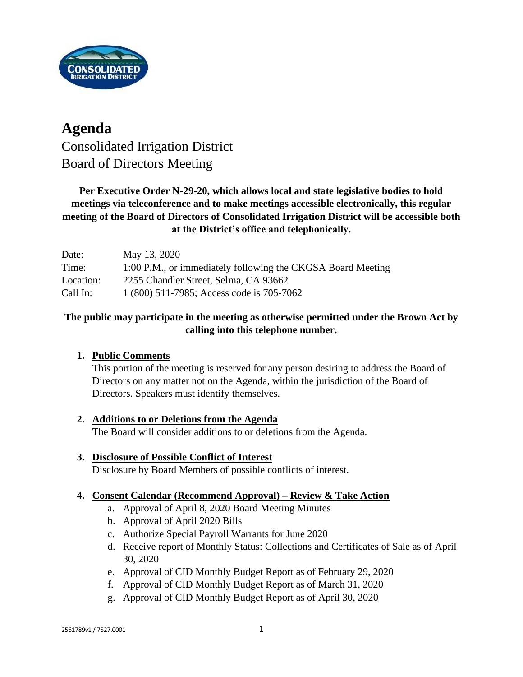

## **Agenda** Consolidated Irrigation District Board of Directors Meeting

## **Per Executive Order N-29-20, which allows local and state legislative bodies to hold meetings via teleconference and to make meetings accessible electronically, this regular meeting of the Board of Directors of Consolidated Irrigation District will be accessible both at the District's office and telephonically.**

| Date:     | May 13, 2020                                                |
|-----------|-------------------------------------------------------------|
| Time:     | 1:00 P.M., or immediately following the CKGSA Board Meeting |
| Location: | 2255 Chandler Street, Selma, CA 93662                       |
| Call In:  | 1 (800) 511-7985; Access code is 705-7062                   |

## **The public may participate in the meeting as otherwise permitted under the Brown Act by calling into this telephone number.**

## **1. Public Comments**

This portion of the meeting is reserved for any person desiring to address the Board of Directors on any matter not on the Agenda, within the jurisdiction of the Board of Directors. Speakers must identify themselves.

## **2. Additions to or Deletions from the Agenda**

The Board will consider additions to or deletions from the Agenda.

# **3. Disclosure of Possible Conflict of Interest**

Disclosure by Board Members of possible conflicts of interest.

## **4. Consent Calendar (Recommend Approval) – Review & Take Action**

- a. Approval of April 8, 2020 Board Meeting Minutes
- b. Approval of April 2020 Bills
- c. Authorize Special Payroll Warrants for June 2020
- d. Receive report of Monthly Status: Collections and Certificates of Sale as of April 30, 2020
- e. Approval of CID Monthly Budget Report as of February 29, 2020
- f. Approval of CID Monthly Budget Report as of March 31, 2020
- g. Approval of CID Monthly Budget Report as of April 30, 2020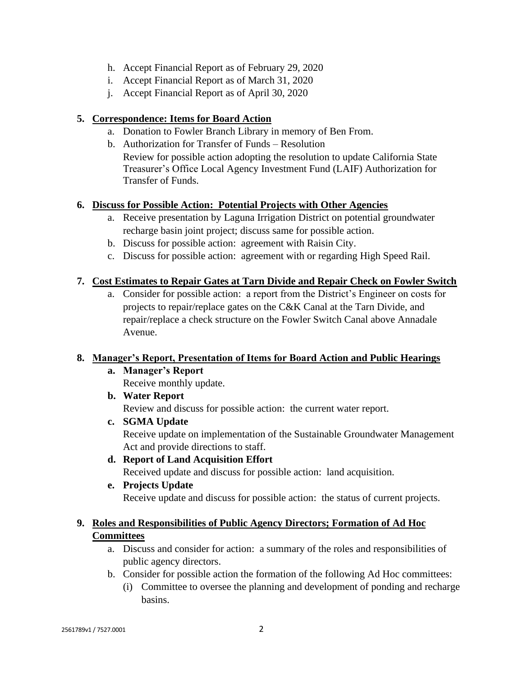- h. Accept Financial Report as of February 29, 2020
- i. Accept Financial Report as of March 31, 2020
- j. Accept Financial Report as of April 30, 2020

### **5. Correspondence: Items for Board Action**

- a. Donation to Fowler Branch Library in memory of Ben From.
- b. Authorization for Transfer of Funds Resolution Review for possible action adopting the resolution to update California State Treasurer's Office Local Agency Investment Fund (LAIF) Authorization for Transfer of Funds.

### **6. Discuss for Possible Action: Potential Projects with Other Agencies**

- a. Receive presentation by Laguna Irrigation District on potential groundwater recharge basin joint project; discuss same for possible action.
- b. Discuss for possible action: agreement with Raisin City.
- c. Discuss for possible action: agreement with or regarding High Speed Rail.

### **7. Cost Estimates to Repair Gates at Tarn Divide and Repair Check on Fowler Switch**

a. Consider for possible action: a report from the District's Engineer on costs for projects to repair/replace gates on the C&K Canal at the Tarn Divide, and repair/replace a check structure on the Fowler Switch Canal above Annadale Avenue.

#### **8. Manager's Report, Presentation of Items for Board Action and Public Hearings**

**a. Manager's Report**

Receive monthly update.

**b. Water Report**

Review and discuss for possible action: the current water report.

- **c. SGMA Update** Receive update on implementation of the Sustainable Groundwater Management Act and provide directions to staff.
- **d. Report of Land Acquisition Effort**

Received update and discuss for possible action: land acquisition.

**e. Projects Update**

Receive update and discuss for possible action: the status of current projects.

## **9. Roles and Responsibilities of Public Agency Directors; Formation of Ad Hoc Committees**

- a. Discuss and consider for action: a summary of the roles and responsibilities of public agency directors.
- b. Consider for possible action the formation of the following Ad Hoc committees:
	- (i) Committee to oversee the planning and development of ponding and recharge basins.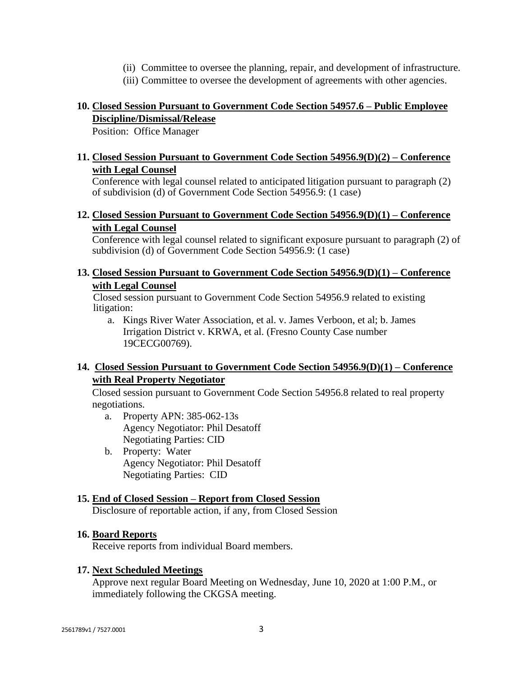- (ii) Committee to oversee the planning, repair, and development of infrastructure.
- (iii) Committee to oversee the development of agreements with other agencies.

## **10. Closed Session Pursuant to Government Code Section 54957.6 – Public Employee Discipline/Dismissal/Release**

Position: Office Manager

## **11. Closed Session Pursuant to Government Code Section 54956.9(D)(2) – Conference with Legal Counsel**

Conference with legal counsel related to anticipated litigation pursuant to paragraph (2) of subdivision (d) of Government Code Section 54956.9: (1 case)

## **12. Closed Session Pursuant to Government Code Section 54956.9(D)(1) – Conference with Legal Counsel**

Conference with legal counsel related to significant exposure pursuant to paragraph (2) of subdivision (d) of Government Code Section 54956.9: (1 case)

### **13. Closed Session Pursuant to Government Code Section 54956.9(D)(1) – Conference with Legal Counsel**

Closed session pursuant to Government Code Section 54956.9 related to existing litigation:

a. Kings River Water Association, et al. v. James Verboon, et al; b. James Irrigation District v. KRWA, et al. (Fresno County Case number 19CECG00769).

## **14. Closed Session Pursuant to Government Code Section 54956.9(D)(1) – Conference with Real Property Negotiator**

Closed session pursuant to Government Code Section 54956.8 related to real property negotiations.

- a. Property APN: 385-062-13s Agency Negotiator: Phil Desatoff Negotiating Parties: CID
- b. Property: Water Agency Negotiator: Phil Desatoff Negotiating Parties: CID

## **15. End of Closed Session – Report from Closed Session**

Disclosure of reportable action, if any, from Closed Session

#### **16. Board Reports**

Receive reports from individual Board members.

#### **17. Next Scheduled Meetings**

Approve next regular Board Meeting on Wednesday, June 10, 2020 at 1:00 P.M., or immediately following the CKGSA meeting.